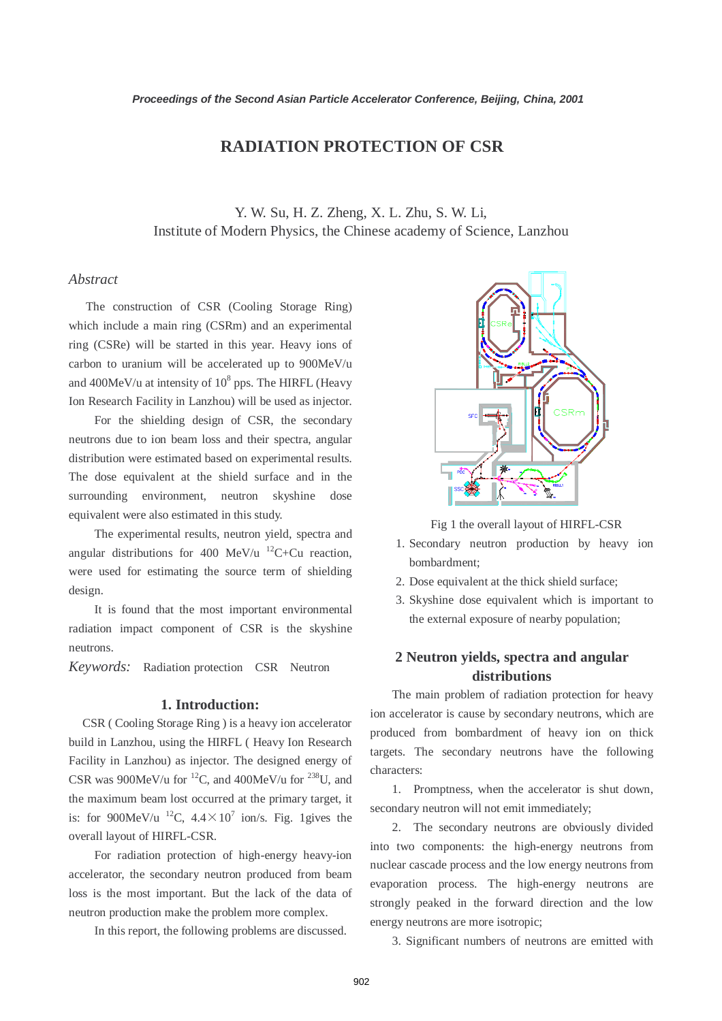# **RADIATION PROTECTION OF CSR**

Y. W. Su, H. Z. Zheng, X. L. Zhu, S. W. Li, Institute of Modern Physics, the Chinese academy of Science, Lanzhou

## *Abstract*

 The construction of CSR (Cooling Storage Ring) which include a main ring (CSRm) and an experimental ring (CSRe) will be started in this year. Heavy ions of carbon to uranium will be accelerated up to 900MeV/u and  $400$ MeV/u at intensity of  $10^8$  pps. The HIRFL (Heavy Ion Research Facility in Lanzhou) will be used as injector.

For the shielding design of CSR, the secondary neutrons due to ion beam loss and their spectra, angular distribution were estimated based on experimental results. The dose equivalent at the shield surface and in the surrounding environment, neutron skyshine dose equivalent were also estimated in this study.

The experimental results, neutron yield, spectra and angular distributions for 400 MeV/u  $^{12}C+Cu$  reaction, were used for estimating the source term of shielding design.

It is found that the most important environmental radiation impact component of CSR is the skyshine neutrons.

*Keywords:* Radiation protection CSR Neutron

### **1. Introduction:**

CSR ( Cooling Storage Ring ) is a heavy ion accelerator build in Lanzhou, using the HIRFL ( Heavy Ion Research Facility in Lanzhou) as injector. The designed energy of CSR was 900MeV/u for <sup>12</sup>C, and 400MeV/u for <sup>238</sup>U, and the maximum beam lost occurred at the primary target, it is: for 900MeV/u <sup>12</sup>C,  $4.4 \times 10^7$  ion/s. Fig. 1gives the overall layout of HIRFL-CSR.

For radiation protection of high-energy heavy-ion accelerator, the secondary neutron produced from beam loss is the most important. But the lack of the data of neutron production make the problem more complex.

In this report, the following problems are discussed.



Fig 1 the overall layout of HIRFL-CSR

- 1. Secondary neutron production by heavy ion bombardment;
- 2. Dose equivalent at the thick shield surface;
- 3. Skyshine dose equivalent which is important to the external exposure of nearby population;

## **2 Neutron yields, spectra and angular distributions**

The main problem of radiation protection for heavy ion accelerator is cause by secondary neutrons, which are produced from bombardment of heavy ion on thick targets. The secondary neutrons have the following characters:

1. Promptness, when the accelerator is shut down, secondary neutron will not emit immediately;

2. The secondary neutrons are obviously divided into two components: the high-energy neutrons from nuclear cascade process and the low energy neutrons from evaporation process. The high-energy neutrons are strongly peaked in the forward direction and the low energy neutrons are more isotropic;

3. Significant numbers of neutrons are emitted with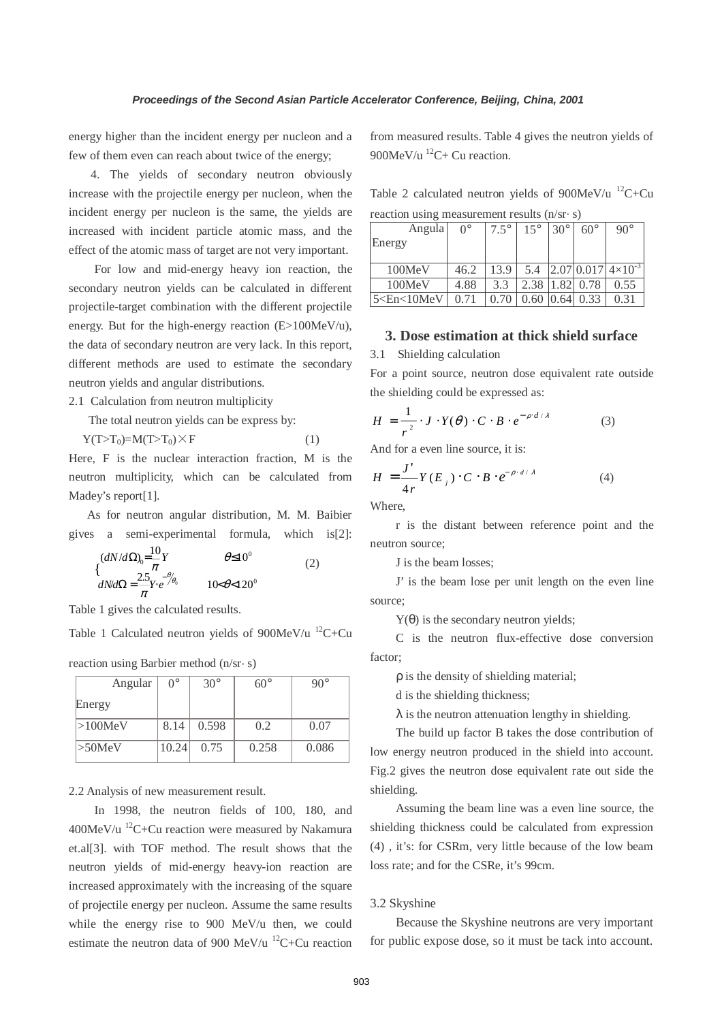energy higher than the incident energy per nucleon and a few of them even can reach about twice of the energy;

4. The yields of secondary neutron obviously increase with the projectile energy per nucleon, when the incident energy per nucleon is the same, the yields are increased with incident particle atomic mass, and the effect of the atomic mass of target are not very important.

For low and mid-energy heavy ion reaction, the secondary neutron yields can be calculated in different projectile-target combination with the different projectile energy. But for the high-energy reaction (E>100MeV/u), the data of secondary neutron are very lack. In this report, different methods are used to estimate the secondary neutron yields and angular distributions.

2.1 Calculation from neutron multiplicity

The total neutron yields can be express by:

$$
Y(T>T_0) = M(T>T_0) \times F \tag{1}
$$

Here, F is the nuclear interaction fraction, M is the neutron multiplicity, which can be calculated from Madey's report[1].

 As for neutron angular distribution, M. M. Baibier gives a semi-experimental formula, which is[2]:

$$
\begin{cases}\n(dN/d\Omega)_{0} = \frac{10}{\pi}Y & \theta \le 10^{0} \\
dN/d\Omega = \frac{2.5}{\pi}Y \cdot e^{-\theta_{\theta_{0}}} & 10\epsilon\theta < 120^{0}\n\end{cases}
$$
\n(2)

Table 1 gives the calculated results.

Table 1 Calculated neutron yields of  $900MeV/u$  <sup>12</sup>C+Cu

| Angular    | $\Omega^{\circ}$ | $30^\circ$ | 60° |      |
|------------|------------------|------------|-----|------|
| Energy     |                  |            |     |      |
| $>100$ MeV | 8.14             | 0.598      | ገ 2 | 0.07 |

 $>50$ MeV | 10.24 | 0.75 | 0.258 | 0.086

reaction using Barbier method  $(n/sr \cdot s)$ 

2.2 Analysis of new measurement result.

In 1998, the neutron fields of 100, 180, and 400MeV/u  ${}^{12}C+Cu$  reaction were measured by Nakamura et.al[3]. with TOF method. The result shows that the neutron yields of mid-energy heavy-ion reaction are increased approximately with the increasing of the square of projectile energy per nucleon. Assume the same results while the energy rise to 900 MeV/u then, we could estimate the neutron data of 900 MeV/u  $^{12}C+Cu$  reaction

from measured results. Table 4 gives the neutron yields of 900MeV/u<sup>12</sup>C+ Cu reaction.

Table 2 calculated neutron yields of  $900MeV/u$  <sup>12</sup>C+Cu reaction using measurement results  $(n/sr \cdot s)$ 

| Angula | $\Omega^{\circ}$ | $7.5^\circ$ | $15^{\circ}$ | $30^\circ$ | $60^\circ$ | $90^\circ$                  |
|--------|------------------|-------------|--------------|------------|------------|-----------------------------|
| Energy |                  |             |              |            |            |                             |
|        |                  |             |              |            |            |                             |
|        |                  |             |              |            |            |                             |
| 100MeV | 46.2             | 13.9        | 5.4          |            |            | $2.07 0.017 4\times10^{-3}$ |
| 100MeV | 4.88             | 3.3         | 2.38         | .82        | 0.78       | 0.55                        |

## **3. Dose estimation at thick shield surface**

3.1 Shielding calculation

For a point source, neutron dose equivalent rate outside the shielding could be expressed as:

$$
H = \frac{1}{r^2} \cdot J \cdot Y(\theta) \cdot C \cdot B \cdot e^{-\rho \cdot d/\lambda} \tag{3}
$$

And for a even line source, it is:

$$
H = \frac{J'}{4r} Y(E_j) \cdot C \cdot B \cdot e^{-\rho \cdot d/\lambda}
$$
 (4)

Where,

r is the distant between reference point and the neutron source;

J is the beam losses;

J' is the beam lose per unit length on the even line source;

Y(θ) is the secondary neutron yields;

C is the neutron flux-effective dose conversion factor;

ρ is the density of shielding material;

d is the shielding thickness;

 $\lambda$  is the neutron attenuation lengthy in shielding.

The build up factor B takes the dose contribution of low energy neutron produced in the shield into account. Fig.2 gives the neutron dose equivalent rate out side the shielding.

Assuming the beam line was a even line source, the shielding thickness could be calculated from expression (4) , it's: for CSRm, very little because of the low beam loss rate; and for the CSRe, it's 99cm.

### 3.2 Skyshine

Because the Skyshine neutrons are very important for public expose dose, so it must be tack into account.